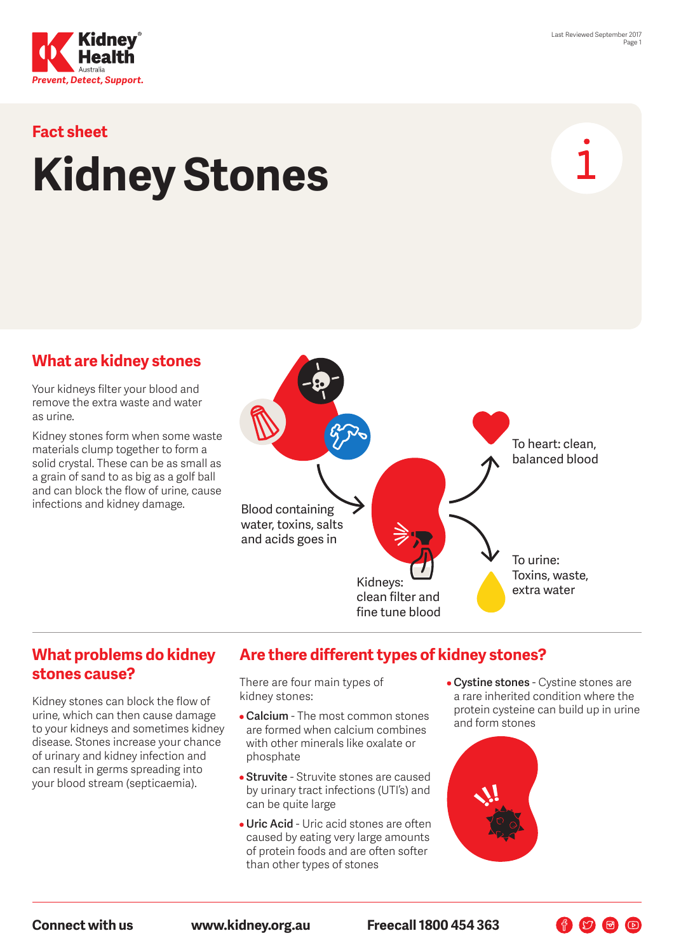



# **Fact sheet Kidney Stones**

## **What are kidney stones**

Your kidneys filter your blood and remove the extra waste and water as urine.

Kidney stones form when some waste materials clump together to form a solid crystal. These can be as small as a grain of sand to as big as a golf ball and can block the flow of urine, cause infections and kidney damage.



#### **What problems do kidney stones cause?**

Kidney stones can block the flow of urine, which can then cause damage to your kidneys and sometimes kidney disease. Stones increase your chance of urinary and kidney infection and can result in germs spreading into your blood stream (septicaemia).

# **Are there different types of kidney stones?**

There are four main types of kidney stones:

- **Calcium** The most common stones are formed when calcium combines with other minerals like oxalate or phosphate
- **Struvite** Struvite stones are caused by urinary tract infections (UTI's) and can be quite large
- **Uric Acid** Uric acid stones are often caused by eating very large amounts of protein foods and are often softer than other types of stones
- **Cystine stones** Cystine stones are a rare inherited condition where the protein cysteine can build up in urine and form stones

 $\begin{picture}(60,6) \put(0,0){\line(1,0){10}} \put(15,0){\line(1,0){10}} \put(15,0){\line(1,0){10}} \put(15,0){\line(1,0){10}} \put(15,0){\line(1,0){10}} \put(15,0){\line(1,0){10}} \put(15,0){\line(1,0){10}} \put(15,0){\line(1,0){10}} \put(15,0){\line(1,0){10}} \put(15,0){\line(1,0){10}} \put(15,0){\line(1,0){10}} \put(15,0){\line(1,$ 

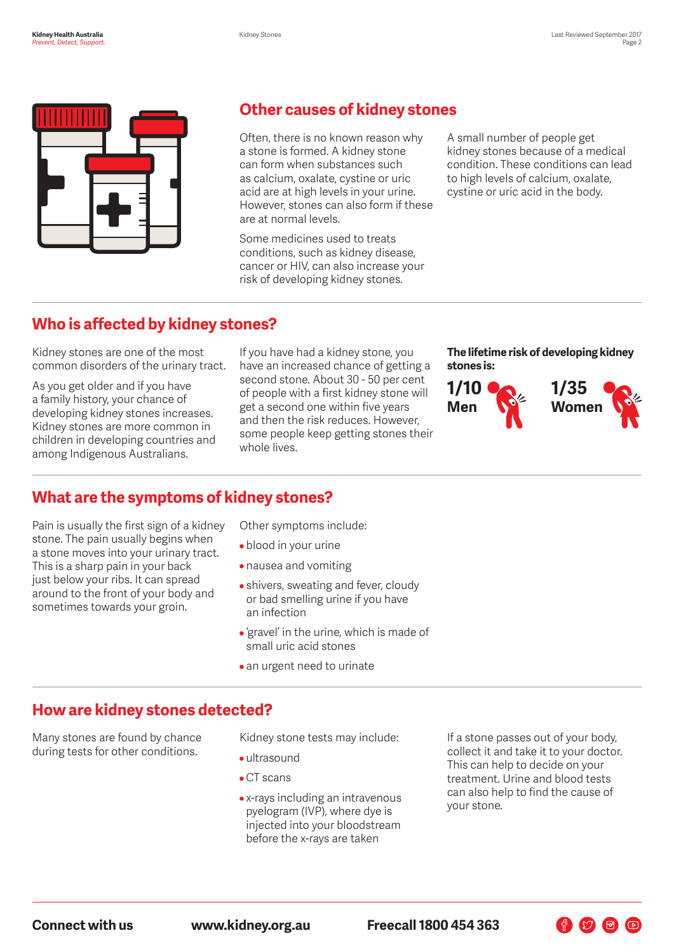

# **Other causes of kidney stones**

Often, there is no known reason why a stone is formed. A kidney stone can form when substances such as calcium, oxalate, cystine or uric acid are at high levels in your urine. However, stones can also form if these are at normal levels.

Some medicines used to treats conditions, such as kidney disease, cancer or HIV, can also increase your risk of developing kidney stones.

A small number of people get kidney stones because of a medical condition. These conditions can lead to high levels of calcium, oxalate, cystine or uric acid in the body.

# **Who is affected by kidney stones?**

Kidney stones are one of the most common disorders of the urinary tract.

As you get older and if you have a family history, your chance of developing kidney stones increases. Kidney stones are more common in children in developing countries and among Indigenous Australians.

If you have had a kidney stone, you have an increased chance of getting a second stone. About 30 - 50 per cent of people with a first kidney stone will get a second one within five years and then the risk reduces. However, some people keep getting stones their whole lives.

**The lifetime risk of developing kidney stones is:**



# **What are the symptoms of kidney stones?**

Pain is usually the first sign of a kidney stone. The pain usually begins when a stone moves into your urinary tract. This is a sharp pain in your back just below your ribs. It can spread around to the front of your body and sometimes towards your groin.

Other symptoms include:

- blood in your urine
- nausea and vomiting
- shivers, sweating and fever, cloudy or bad smelling urine if you have an infection
- 'gravel' in the urine, which is made of small uric acid stones
- an urgent need to urinate

## **How are kidney stones detected?**

Many stones are found by chance during tests for other conditions.

Kidney stone tests may include:

- ultrasound
- CT scans
- x-rays including an intravenous pyelogram (IVP), where dye is injected into your bloodstream before the x-rays are taken

If a stone passes out of your body, collect it and take it to your doctor. This can help to decide on your treatment. Urine and blood tests can also help to find the cause of your stone.

 $\bigoplus$   $\bigcirc$   $\bigoplus$   $\bigcirc$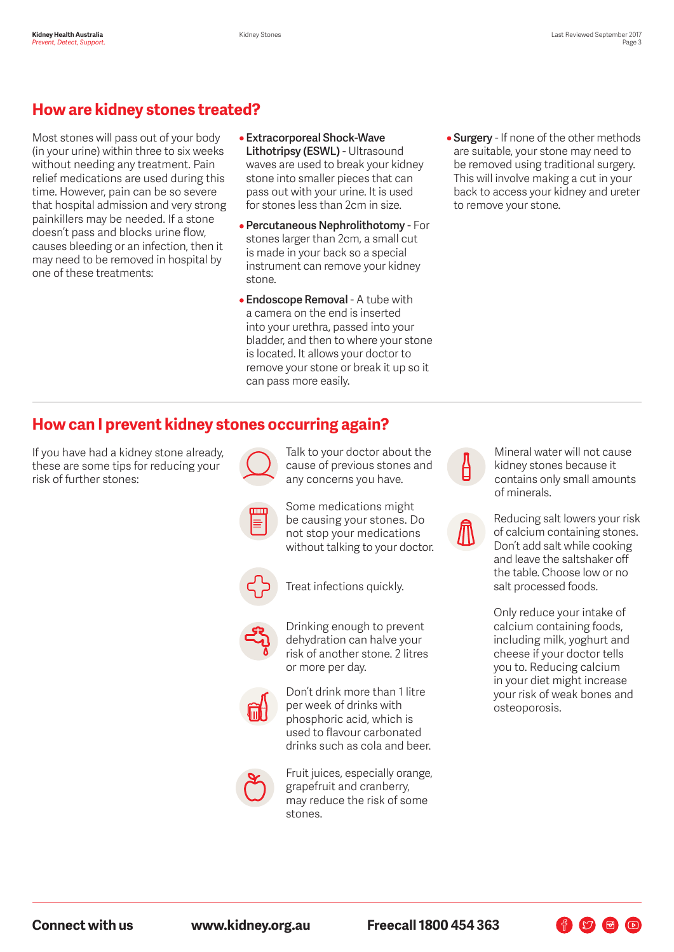# **How are kidney stones treated?**

Most stones will pass out of your body (in your urine) within three to six weeks without needing any treatment. Pain relief medications are used during this time. However, pain can be so severe that hospital admission and very strong painkillers may be needed. If a stone doesn't pass and blocks urine flow, causes bleeding or an infection, then it may need to be removed in hospital by one of these treatments:

- **Extracorporeal Shock-Wave Lithotripsy (ESWL)** - Ultrasound waves are used to break your kidney stone into smaller pieces that can pass out with your urine. It is used for stones less than 2cm in size.
- **Percutaneous Nephrolithotomy** For stones larger than 2cm, a small cut is made in your back so a special instrument can remove your kidney stone.
- **Endoscope Removal** A tube with a camera on the end is inserted into your urethra, passed into your bladder, and then to where your stone is located. It allows your doctor to remove your stone or break it up so it can pass more easily.
- **Surgery** If none of the other methods are suitable, your stone may need to be removed using traditional surgery. This will involve making a cut in your back to access your kidney and ureter to remove your stone.

# **How can I prevent kidney stones occurring again?**

If you have had a kidney stone already, these are some tips for reducing your risk of further stones:



Talk to your doctor about the cause of previous stones and any concerns you have.

Some medications might be causing your stones. Do not stop your medications without talking to your doctor.



Treat infections quickly.



Drinking enough to prevent dehydration can halve your risk of another stone. 2 litres or more per day.



Don't drink more than 1 litre per week of drinks with phosphoric acid, which is used to flavour carbonated drinks such as cola and beer.



Fruit juices, especially orange, grapefruit and cranberry, may reduce the risk of some stones.



Mineral water will not cause kidney stones because it contains only small amounts of minerals.

Reducing salt lowers your risk of calcium containing stones. Don't add salt while cooking and leave the saltshaker off the table. Choose low or no salt processed foods.

Only reduce your intake of calcium containing foods, including milk, yoghurt and cheese if your doctor tells you to. Reducing calcium in your diet might increase your risk of weak bones and osteoporosis.

作り日日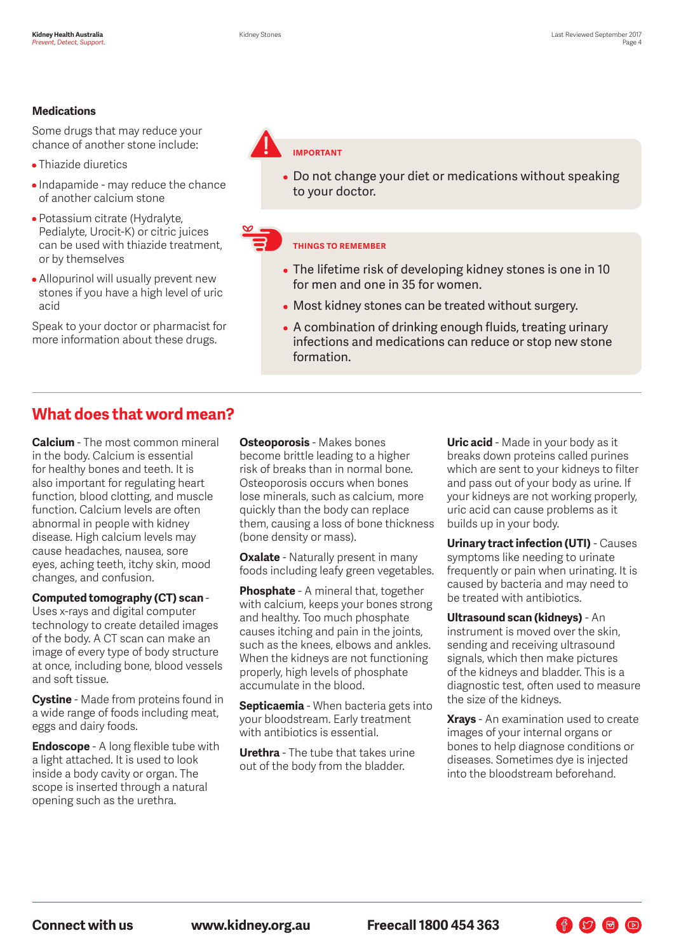#### **Medications**

Some drugs that may reduce your chance of another stone include:

- Thiazide diuretics
- Indapamide may reduce the chance of another calcium stone
- Potassium citrate (Hydralyte, Pedialyte, Urocit-K) or citric juices can be used with thiazide treatment, or by themselves
- Allopurinol will usually prevent new stones if you have a high level of uric acid

Speak to your doctor or pharmacist for more information about these drugs.



• Do not change your diet or medications without speaking to your doctor.

#### **THINGS TO REMEMBER**

- The lifetime risk of developing kidney stones is one in 10 for men and one in 35 for women.
- Most kidney stones can be treated without surgery.
- A combination of drinking enough fluids, treating urinary infections and medications can reduce or stop new stone formation.

## **What does that word mean?**

**Calcium** - The most common mineral in the body. Calcium is essential for healthy bones and teeth. It is also important for regulating heart function, blood clotting, and muscle function. Calcium levels are often abnormal in people with kidney disease. High calcium levels may cause headaches, nausea, sore eyes, aching teeth, itchy skin, mood changes, and confusion.

#### **Computed tomography (CT) scan** -

Uses x-rays and digital computer technology to create detailed images of the body. A CT scan can make an image of every type of body structure at once, including bone, blood vessels and soft tissue.

**Cystine** - Made from proteins found in a wide range of foods including meat, eggs and dairy foods.

**Endoscope** - A long flexible tube with a light attached. It is used to look inside a body cavity or organ. The scope is inserted through a natural opening such as the urethra.

**Osteoporosis** - Makes bones become brittle leading to a higher risk of breaks than in normal bone. Osteoporosis occurs when bones lose minerals, such as calcium, more quickly than the body can replace them, causing a loss of bone thickness (bone density or mass).

**Oxalate** - Naturally present in many foods including leafy green vegetables.

**Phosphate** - A mineral that, together with calcium, keeps your bones strong and healthy. Too much phosphate causes itching and pain in the joints, such as the knees, elbows and ankles. When the kidneys are not functioning properly, high levels of phosphate accumulate in the blood.

**Septicaemia** - When bacteria gets into your bloodstream. Early treatment with antibiotics is essential.

**Urethra** - The tube that takes urine out of the body from the bladder.

**Uric acid** - Made in your body as it breaks down proteins called purines which are sent to your kidneys to filter and pass out of your body as urine. If your kidneys are not working properly, uric acid can cause problems as it builds up in your body.

**Urinary tract infection (UTI)** - Causes symptoms like needing to urinate frequently or pain when urinating. It is caused by bacteria and may need to be treated with antibiotics.

**Ultrasound scan (kidneys)** - An instrument is moved over the skin, sending and receiving ultrasound signals, which then make pictures of the kidneys and bladder. This is a diagnostic test, often used to measure the size of the kidneys.

**Xrays** - An examination used to create images of your internal organs or bones to help diagnose conditions or diseases. Sometimes dye is injected into the bloodstream beforehand.

 $\bigoplus$   $\bigcirc$   $\bigoplus$   $\bigcirc$ 

**Connect with us www.kidney.org.au Freecall 1800 454 363**